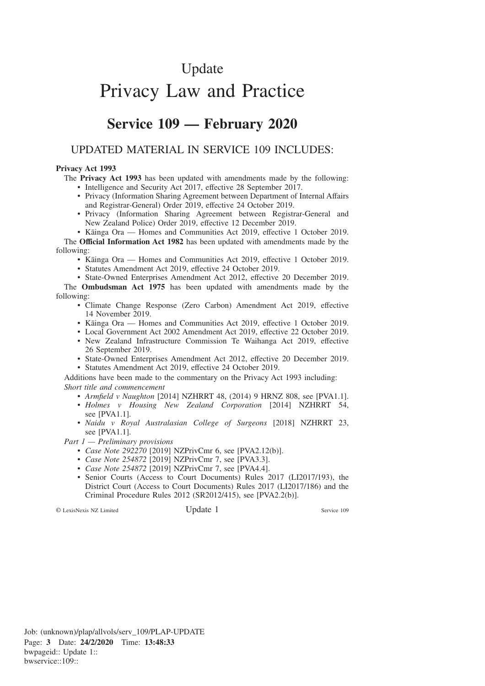# Update

# Privacy Law and Practice

## **Service 109 — February 2020**

## UPDATED MATERIAL IN SERVICE 109 INCLUDES:

#### **Privacy Act 1993**

The **Privacy Act 1993** has been updated with amendments made by the following:

- Intelligence and Security Act 2017, effective 28 September 2017.
- Privacy (Information Sharing Agreement between Department of Internal Affairs and Registrar-General) Order 2019, effective 24 October 2019.
- Privacy (Information Sharing Agreement between Registrar-General and New Zealand Police) Order 2019, effective 12 December 2019.

• Kāinga Ora — Homes and Communities Act 2019, effective 1 October 2019.

The **Official Information Act 1982** has been updated with amendments made by the following:

- Kāinga Ora Homes and Communities Act 2019, effective 1 October 2019.
- Statutes Amendment Act 2019, effective 24 October 2019.
- State-Owned Enterprises Amendment Act 2012, effective 20 December 2019.

The **Ombudsman Act 1975** has been updated with amendments made by the following:

- Climate Change Response (Zero Carbon) Amendment Act 2019, effective 14 November 2019.
- Kāinga Ora Homes and Communities Act 2019, effective 1 October 2019.
- Local Government Act 2002 Amendment Act 2019, effective 22 October 2019.
- New Zealand Infrastructure Commission Te Waihanga Act 2019, effective 26 September 2019.
- State-Owned Enterprises Amendment Act 2012, effective 20 December 2019.
- Statutes Amendment Act 2019, effective 24 October 2019.

Additions have been made to the commentary on the Privacy Act 1993 including: *Short title and commencement*

- *Armfield v Naughton* [2014] NZHRRT 48, (2014) 9 HRNZ 808, see [PVA1.1].
- *Holmes v Housing New Zealand Corporation* [2014] NZHRRT 54, see [PVA1.1].
- *Naidu v Royal Australasian College of Surgeons* [2018] NZHRRT 23, see [PVA1.1].

*Part 1 — Preliminary provisions*

- *Case Note 292270* [2019] NZPrivCmr 6, see [PVA2.12(b)].
- *Case Note 254872* [2019] NZPrivCmr 7, see [PVA3.3].
- *Case Note 254872* [2019] NZPrivCmr 7, see [PVA4.4].
- Senior Courts (Access to Court Documents) Rules 2017 (LI2017/193), the District Court (Access to Court Documents) Rules 2017 (LI2017/186) and the Criminal Procedure Rules 2012 (SR2012/415), see [PVA2.2(b)].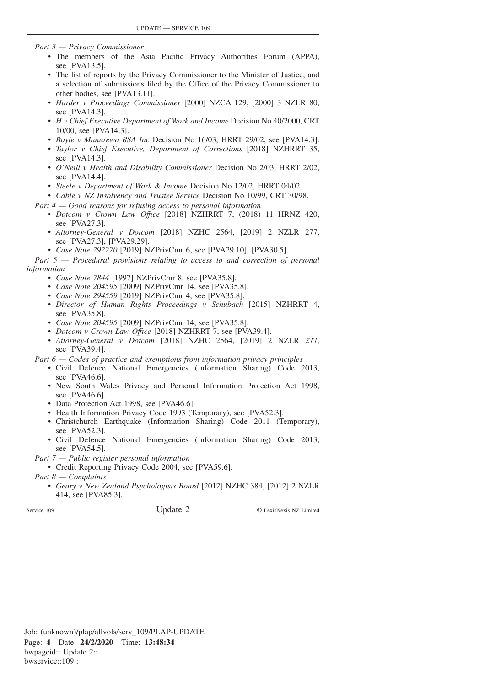*Part 3 — Privacy Commissioner*

- The members of the Asia Pacific Privacy Authorities Forum (APPA), see [PVA13.5].
- The list of reports by the Privacy Commissioner to the Minister of Justice, and a selection of submissions filed by the Office of the Privacy Commissioner to other bodies, see [PVA13.11].
- *Harder v Proceedings Commissioner* [2000] NZCA 129, [2000] 3 NZLR 80, see [PVA14.3].
- *H v Chief Executive Department of Work and Income* Decision No 40/2000, CRT 10/00, see [PVA14.3].
- *Boyle v Manurewa RSA Inc* Decision No 16/03, HRRT 29/02, see [PVA14.3].
- *Taylor v Chief Executive, Department of Corrections* [2018] NZHRRT 35, see [PVA14.3].
- *O'Neill v Health and Disability Commissioner* Decision No 2/03, HRRT 2/02, see [PVA14.4].
- *Steele v Department of Work & Income* Decision No 12/02, HRRT 04/02.
- *Cable v NZ Insolvency and Trustee Service* Decision No 10/99, CRT 30/98.

*Part 4 — Good reasons for refusing access to personal information*

- *Dotcom v Crown Law Offıce* [2018] NZHRRT 7, (2018) 11 HRNZ 420, see [PVA27.3].
- *Attorney-General v Dotcom* [2018] NZHC 2564, [2019] 2 NZLR 277, see [PVA27.3], [PVA29.29].
- *Case Note 292270* [2019] NZPrivCmr 6, see [PVA29.10], [PVA30.5].

*Part 5 — Procedural provisions relating to access to and correction of personal information*

- *Case Note 7844* [1997] NZPrivCmr 8, see [PVA35.8].
- *Case Note 204595* [2009] NZPrivCmr 14, see [PVA35.8].
- *Case Note 294559* [2019] NZPrivCmr 4, see [PVA35.8].
- *Director of Human Rights Proceedings v Schubach* [2015] NZHRRT 4, see [PVA35.8].
- *Case Note 204595* [2009] NZPrivCmr 14, see [PVA35.8].
- *Dotcom v Crown Law Offıce* [2018] NZHRRT 7, see [PVA39.4].
- *Attorney-General v Dotcom* [2018] NZHC 2564, [2019] 2 NZLR 277, see [PVA39.4].

*Part 6 — Codes of practice and exemptions from information privacy principles*

- Civil Defence National Emergencies (Information Sharing) Code 2013, see [PVA46.6].
- New South Wales Privacy and Personal Information Protection Act 1998, see [PVA46.6].
- Data Protection Act 1998, see [PVA46.6].
- Health Information Privacy Code 1993 (Temporary), see [PVA52.3].
- Christchurch Earthquake (Information Sharing) Code 2011 (Temporary), see [PVA52.3].
- Civil Defence National Emergencies (Information Sharing) Code 2013, see [PVA54.5].

*Part 7 — Public register personal information*

• Credit Reporting Privacy Code 2004, see [PVA59.6].

*Part 8 — Complaints*

• *Geary v New Zealand Psychologists Board* [2012] NZHC 384, [2012] 2 NZLR 414, see [PVA85.3].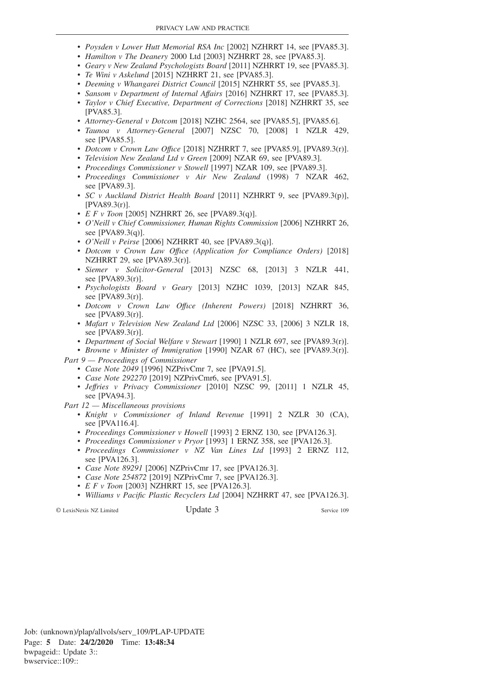- *Poysden v Lower Hutt Memorial RSA Inc* [2002] NZHRRT 14, see [PVA85.3].
- *Hamilton v The Deanery* 2000 Ltd [2003] NZHRRT 28, see [PVA85.3].
- *Geary v New Zealand Psychologists Board* [2011] NZHRRT 19, see [PVA85.3].
- *Te Wini v Askelund* [2015] NZHRRT 21, see [PVA85.3].
- *Deeming v Whangarei District Council* [2015] NZHRRT 55, see [PVA85.3].
- *Sansom v Department of Internal Affairs* [2016] NZHRRT 17, see [PVA85.3].
- *Taylor v Chief Executive, Department of Corrections* [2018] NZHRRT 35, see [PVA85.3].
- *Attorney-General v Dotcom* [2018] NZHC 2564, see [PVA85.5], [PVA85.6].
- *Taunoa v Attorney-General* [2007] NZSC 70, [2008] 1 NZLR 429, see [PVA85.5].
- *Dotcom v Crown Law Offıce* [2018] NZHRRT 7, see [PVA85.9], [PVA89.3(r)].
- *Television New Zealand Ltd v Green* [2009] NZAR 69, see [PVA89.3].
- *Proceedings Commissioner v Stowell* [1997] NZAR 109, see [PVA89.3].
- *Proceedings Commissioner v Air New Zealand* (1998) 7 NZAR 462, see [PVA89.3].
- *SC v Auckland District Health Board* [2011] NZHRRT 9, see [PVA89.3(p)], [PVA89.3(r)].
- *E F v Toon* [2005] NZHRRT 26, see [PVA89.3(q)].
- *O'Neill v Chief Commissioner, Human Rights Commission* [2006] NZHRRT 26, see [PVA89.3(q)].
- *O'Neill v Peirse* [2006] NZHRRT 40, see [PVA89.3(q)].
- *Dotcom v Crown Law Offıce (Application for Compliance Orders)* [2018] NZHRRT 29, see [PVA89.3(r)].
- *Siemer v Solicitor-General* [2013] NZSC 68, [2013] 3 NZLR 441, see [PVA89.3(r)].
- *Psychologists Board v Geary* [2013] NZHC 1039, [2013] NZAR 845, see [PVA89.3(r)].
- *Dotcom v Crown Law Offıce (Inherent Powers)* [2018] NZHRRT 36, see [PVA89.3(r)].
- *Mafart v Television New Zealand Ltd* [2006] NZSC 33, [2006] 3 NZLR 18, see [PVA89.3(r)].
- *Department of Social Welfare v Stewart* [1990] 1 NZLR 697, see [PVA89.3(r)].
- *Browne v Minister of Immigration* [1990] NZAR 67 (HC), see [PVA89.3(r)]. *Part 9 — Proceedings of Commissioner*
	- *Case Note 2049* [1996] NZPrivCmr 7, see [PVA91.5].
	- *Case Note 292270* [2019] NZPrivCmr6, see [PVA91.5].
	- *Jeffries v Privacy Commissioner* [2010] NZSC 99, [2011] 1 NZLR 45, see [PVA94.3].

*Part 12 — Miscellaneous provisions*

- *Knight v Commissioner of Inland Revenue* [1991] 2 NZLR 30 (CA), see [PVA116.4].
- *Proceedings Commissioner v Howell* [1993] 2 ERNZ 130, see [PVA126.3].
- *Proceedings Commissioner v Pryor* [1993] 1 ERNZ 358, see [PVA126.3].
- *Proceedings Commissioner v NZ Van Lines Ltd* [1993] 2 ERNZ 112, see [PVA126.3].
- *Case Note 89291* [2006] NZPrivCmr 17, see [PVA126.3].
- *Case Note 254872* [2019] NZPrivCmr 7, see [PVA126.3].
- *E F v Toon* [2003] NZHRRT 15, see [PVA126.3].
- *Williams v Pacific Plastic Recyclers Ltd* [2004] NZHRRT 47, see [PVA126.3].

© LexisNexis NZ Limited Update 3 Service 109